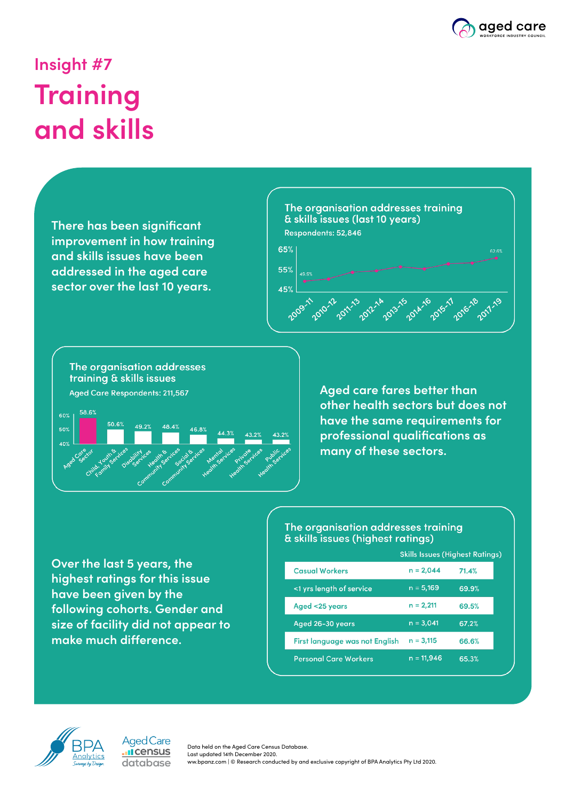

## **Insight #7 Training and skills**

**There has been significant improvement in how training and skills issues have been addressed in the aged care sector over the last 10 years.**





**Aged care fares better than other health sectors but does not have the same requirements for professional qualifications as many of these sectors.**

**Over the last 5 years, the highest ratings for this issue have been given by the following cohorts. Gender and size of facility did not appear to make much difference.**

#### The organisation addresses training & skills issues (highest ratings)

|                                | <b>Skills Issues (Highest Ratings)</b> |       |
|--------------------------------|----------------------------------------|-------|
| <b>Casual Workers</b>          | $n = 2,044$                            | 71.4% |
| <1 yrs length of service       | $n = 5,169$                            | 69.9% |
| Aged <25 years                 | $n = 2,211$                            | 69.5% |
| Aged 26-30 years               | $n = 3,041$                            | 67.2% |
| First language was not English | $n = 3,115$                            | 66.6% |
| <b>Personal Care Workers</b>   | $n = 11,946$                           | 65.3% |



**Aged Care I**census database

Data held on the Aged Care Census Database. Last updated 14th December 2020. ww.bpanz.com | © Research conducted by and exclusive copyright of BPA Analytics Pty Ltd 2020.